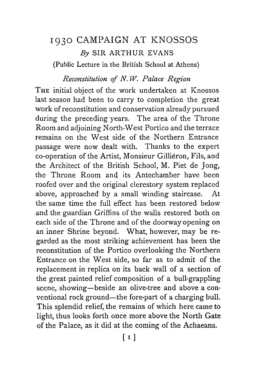# 1930 CAMPAIGN AT KN**0**SS**0**S  $Bv$  SIR ARTHUR EVANS (Public Lecture in the British School at Athens)

#### *Reconstitution of N. W. Palace Region*

THE initial object of the work undertaken at Knossos last season had been to carry to completion the great work of reconstitution and conservation already pursued during the preceding years. The area of the Throne Room and adjoining North-West Portico and the terrace remains on the West side of the Northern Entrance passage were now dealt with. Thanks to the expert co-operation of the Artist, Monsieur Gilliéron, Fils, and the Architect of the British School, M. Piet de Jong, the Throne Room and its Antechamber have been roofed over and the original clerestory system replaced above, approached by a small winding staircase. At the same time the full effect has been restored below and the guardian Griffins of the walls restored both on each side of the Throne and of the doorway opening on an inner Shrine beyond. What, however, may be regarded as the most striking achievement has been the reconstitution of the Portico overlooking the Northern Entrance on the West side, so far as to admit of the replacement in replica on its back wall of a section of the great painted relief composition of a bull-grappling scene, showing—beside an olive-tree and above a conventional rock ground—the fore-part of a charging bull. This splendid relief, the remains of which here came to light, thus looks forth once more above the North Gate of the Palace, as it did at the coming of the Achaeans.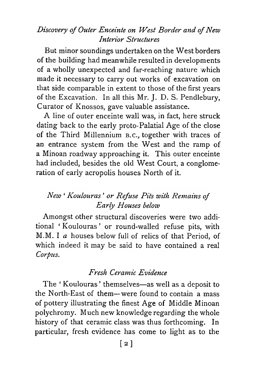## *Discovery of Outer Enceinte on West Border and of New Interior Structures*

But minor soundings undertaken on the West borders of the building had meanwhile resulted in developments of a wholly unexpected and far-reaching nature which made it necessary to carry out works of excavation on that side comparable in extent to those of the first years of the Excavation. In all this Mr. J. D. S. Pendlebury, Curator of Knossos, gave valuable assistance.

A line of outer enceinte wall was, in fact, here struck dating back to the early proto-Palatial Age of the close of the Third Millennium **<sup>b</sup> .c.,** together with traces of an entrance system from the West and the ramp of a Minoan roadway approaching it. This outer enceinte had included, besides the old West Court, a conglomeration of early acropolis houses North of it.

## *New 1 Koulouras ' or Refuse Pits with Remains of Early Houses below*

Amongst other structural discoveries were two additional *1* Koulouras ' or round-walled refuse pits, with M.M. I *a* houses below full of relics of that Period, of which indeed it may be said to have contained a real *Corpus.*

### *Fresh Ceramic Evidence*

The *1* Koulouras ' themselves—as well as a deposit to the North-East of them—were found to contain a mass of pottery illustrating the finest Age of Middle Minoan polychromy. Much new knowledge regarding the whole history of that ceramic class was thus forthcoming. In particular, fresh evidence has come to light as to the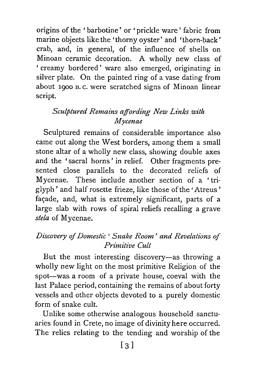origins of the ' barbotine ' or ' prickle ware ' fabric from marine objects like the 'thorny oyster' and 'thorn-back' crab, and, in general, of the influence of shells on Minoan ceramic decoration. A wholly new class of ' creamy bordered ' ware also emerged, originating in silver plate. On the painted ring of a vase dating from about 1900 **<sup>b</sup> .** c. were scratched signs of Minoan linear script.

## *Sculptured Remains affording New Links with Mycenae*

Sculptured remains of considerable importance also came out along the West borders, among them a small stone altar of a wholly new class, showing double axes and the 'sacral horns' in relief. Other fragments presented close parallels to the decorated reliefs of Mycenae. These include another section of a ' triglyph ' and half rosette frieze, like those of the ' Atreus ' façade, and, what is extremely significant, parts of a large slab with rows of spiral reliefs recalling a grave *stela* of Mycenae.

## *Discovery of Domestic* ' *Snake Room* ' *and Revelations of Prim itive Cult*

But the most interesting discovery—as throwing a wholly new light on the most primitive Religion of the spot—was a room of a private house, coeval with the last Palace period, containing the remains of about forty vessels and other objects devoted to a purely domestic form of snake cult.

Unlike some otherwise analogous household sanctuaries found in Crete, no image of divinity here occurred. The relics relating to the tending and worship of the